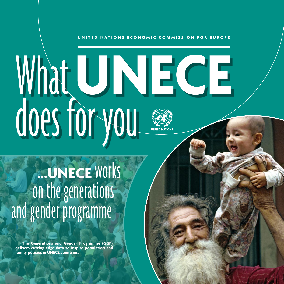### UNITED NATIONS ECONOMIC COMMISSION FOR EUROPE

# What UNECE does for you **UNITED NATIONS**

# **...UNECE** works on the generations<br>and gender programme

**The Generations and Gender Programme (GGP) delivers cutting-edge data to inspire population and family policies in UNECE countries.**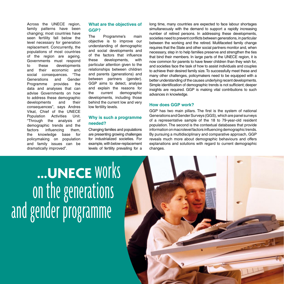Across the UNECE region, family patterns have been changing; most countries have seen fertility fall below the level necessary for generation replacement. Concurrently, the populations of most countries of the region are ageing. Governments must respond to these developments and their economic and social consequences. "The Generations and Gender Programme provides the data and analyses that can advise Governments on how to address these demographic developments and their consequences", says Andres Vikat, Chief of the UNECE<br>Population Activities Unit Population Activities Unit.<br>"Through the analysis of "Through the demographic trends and the factors influencing them. the knowledge base for policymaking on population and family issues can be dramatically improved".

# **What are the objectives of GGP?**

The Programme's main objective is to improve our understanding of demographic and social developments and of the factors that influence these developments, with particular attention given to the relationships between children and parents (generations) and between partners (gender). GGP aims to detect, analyse and explain the reasons for the current demographic developments, including those behind the current low and very low fertility levels.

# **Why is such a programme needed?**

Changing families and populations are presenting growing challenges for industrialized societies. For example, with below-replacement levels of fertility prevailing for a long time, many countries are expected to face labour shortages simultaneously with the demand to support a rapidly increasing number of retired persons. In addressing these developments, societies need to prevent conflicts between generations, in particular between the working and the retired. Multifaceted family change requires that the State and other social partners monitor and, when necessary, step in to help families preserve and strengthen the ties that bind their members. In large parts of the UNECE region, it is now common for parents to have fewer children than they wish for, and societies face the task of how to assist individuals and couples to achieve their desired family size. To successfully meet these and many other challenges, policymakers need to be equipped with a better understanding of the causes underlying recent developments. Simple identification of demographic trends is not sufficient; deeper insights are required. GGP is making vital contributions to such advances in knowledge.

## **How does GGP work?**

GGP has two main pillars. The first is the system of national Generations and Gender Surveys (GGS), which are panel surveys of a representative sample of the 18 to 79-year-old resident population. The second is the contextual databases that provide information on macrolevel factors influencing demographic trends. By pursuing a multidisciplinary and comparative approach, GGP reveals much more about demographic behaviours and offers explanations and solutions with regard to current demographic changes.

**...UNECE** works on the generations and gender programme

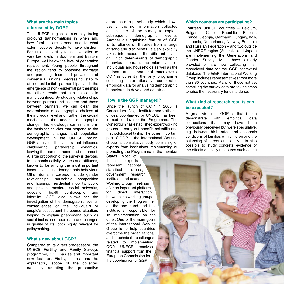# **What are the main topics addressed by GGP?**

The UNECE region is currently facing profound transformations in when and how families are formed and to what extent couples decide to have children. For instance, fertility rates have fallen to very low levels in Southern and Eastern Europe, well below the level of generation replacement. Young people throughout the region tend to postpone marriage and parenting. Increased prevalence of consensual unions, decreasing stability of co-residential partnerships and the emergence of non-residential partnerships are other trends that can be seen in many countries. By studying relationships between parents and children and those between partners, we can glean the determinants of demographic choices at the individual level and, further, the causal mechanisms that underlie demographic change. This knowledge can in turn form the basis for policies that respond to the demographic changes and population development in the UNECE region. GGP analyses the factors that influence<br>childbearing, partnership dynamics, childbearing, leaving the parental home and retirement. A large proportion of the survey is devoted to economic activity, values and attitudes, known to be among the most important factors explaining demographic behaviour. Other domains covered include gender relationships, household composition and housing, residential mobility, public and private transfers, social networks, education, health, contraception and infertility. GGS also allows for the investigation of the demographic events' consequences on the individual's or couple's subsequent life-course situation, helping to explain phenomena such as social inclusion or exclusion and changes in quality of life, both highly relevant for policymaking.

## **What's new about GGP?**

Compared to its direct predecessor, the UNECE Fertility and Family Surveys programme, GGP has several important new features. Firstly, it broadens the explanatory scope of the collected data by adopting the prospective

approach of a panel study, which allows use of the rich information collected at the time of the survey to explain<br>subsequent demographic events. demographic Another distinguishing feature of GGP is its reliance on theories from a range of scholarly disciplines. It also explicitly takes into account the different levels on which determinants of demographic behaviour operate: the microlevels of individuals and households as well as the national and subnational macrolevels. GGP is currently the only programme collecting internationally comparable empirical data for analysing demographic behaviours in developed countries.

### **How is the GGP managed?**

Since the launch of GGP in 2000, a Consortium of eight institutes and statistical offices, coordinated by UNECE, has been formed to develop the Programme. The Consortium has established expert working groups to carry out specific scientific and methodological tasks. The other important part of GGP is the International Working Group, a consultative body consisting of experts from institutions implementing or promoting the Programme in the member

States. Most of these experts experts represent national statistical offices government research institutes and academia. Working Group meetings offer an important platform for direct interaction between the working groups developing the Programme on the one hand and the institutions responsible for its implementation on the other. One of the main goals of the International Working Group is to help countries overcome the organizational and technical challenges related to implementing GGP. UNECE receives financial support from the European Commission for the coordination of GGP.

### **Which countries are participating?**

Fourteen UNECE countries – Belgium, Bulgaria, Czech Republic, Estonia, France, Georgia, Germany, Hungary, Italy, Lithuania, Netherlands, Norway, Romania and Russian Federation – and two outside the UNECE region (Australia and Japan) are implementing the Generations and Gender Survey. Most have already provided or are now collecting their macrolevel data for the GGP contextual database. The GGP International Working Group includes representatives from more than 30 countries. Many of those not yet compiling the survey data are taking steps to raise the necessary funds to do so.

# **What kind of research results can be expected?**

A great virtue of GGP is that it can<br>demonstrate with empirical data demonstrate connections that may have been previously perceived but were speculative, e.g. between birth rates and economic conditions of families with children and the balancing of career and family. It is also possible to study concrete evidence of the effects of policy measures such as the